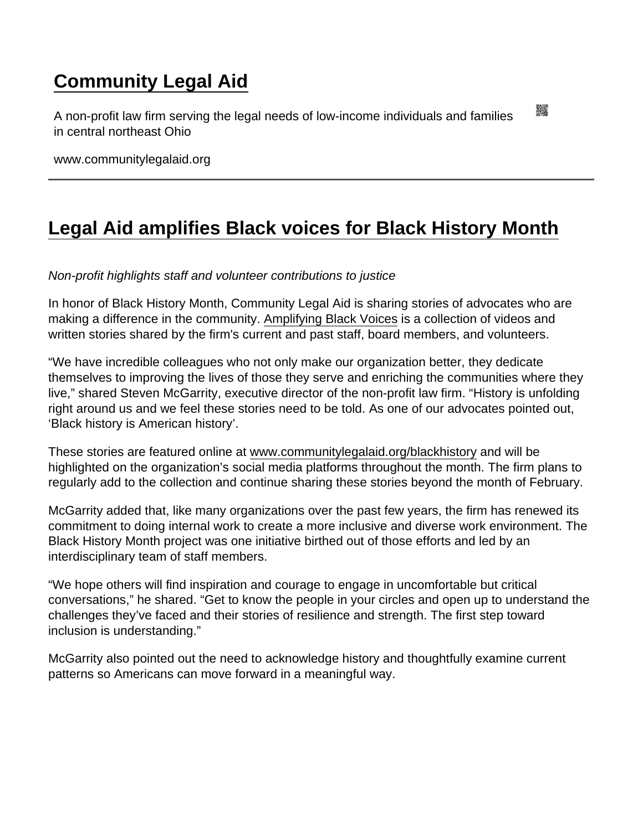## [Community Legal Aid](https://www.communitylegalaid.org/)

A non-profit law firm serving the legal needs of low-income individuals and families in central northeast Ohio

www.communitylegalaid.org

## [Legal Aid amplifies Black voices for Black History Month](https://www.communitylegalaid.org/node/1665/legal-aid-amplifies-black-voices-black-history-month)

Non-profit highlights staff and volunteer contributions to justice

In honor of Black History Month, Community Legal Aid is sharing stories of advocates who are making a difference in the community. [Amplifying Black Voices](http://www.communitylegalaid.org/blackhistory) is a collection of videos and written stories shared by the firm's current and past staff, board members, and volunteers.

"We have incredible colleagues who not only make our organization better, they dedicate themselves to improving the lives of those they serve and enriching the communities where they live," shared Steven McGarrity, executive director of the non-profit law firm. "History is unfolding right around us and we feel these stories need to be told. As one of our advocates pointed out, 'Black history is American history'.

These stories are featured online at [www.communitylegalaid.org/blackhistory](http://www.communitylegalaid.org/blackhistory) and will be highlighted on the organization's social media platforms throughout the month. The firm plans to regularly add to the collection and continue sharing these stories beyond the month of February.

McGarrity added that, like many organizations over the past few years, the firm has renewed its commitment to doing internal work to create a more inclusive and diverse work environment. The Black History Month project was one initiative birthed out of those efforts and led by an interdisciplinary team of staff members.

"We hope others will find inspiration and courage to engage in uncomfortable but critical conversations," he shared. "Get to know the people in your circles and open up to understand the challenges they've faced and their stories of resilience and strength. The first step toward inclusion is understanding."

McGarrity also pointed out the need to acknowledge history and thoughtfully examine current patterns so Americans can move forward in a meaningful way.